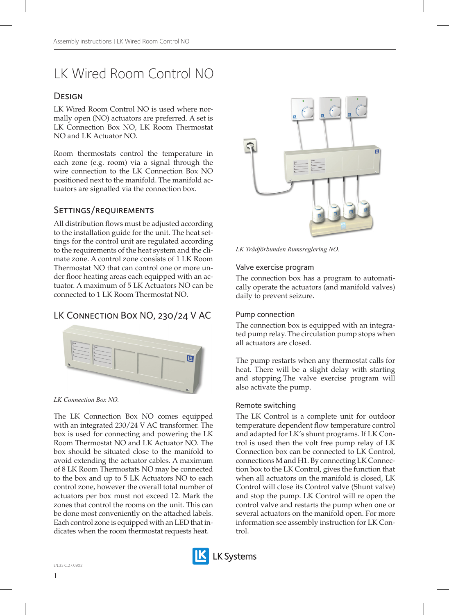# LK Wired Room Control NO

# **DESIGN**

LK Wired Room Control NO is used where normally open (NO) actuators are preferred. A set is LK Connection Box NO, LK Room Thermostat NO and LK Actuator NO.

Room thermostats control the temperature in each zone (e.g. room) via a signal through the wire connection to the LK Connection Box NO positioned next to the manifold. The manifold actuators are signalled via the connection box.

# Settings/requirements

All distribution flows must be adjusted according to the installation guide for the unit. The heat settings for the control unit are regulated according to the requirements of the heat system and the climate zone. A control zone consists of 1 LK Room Thermostat NO that can control one or more under floor heating areas each equipped with an actuator. A maximum of 5 LK Actuators NO can be connected to 1 LK Room Thermostat NO.

# LK Connection Box NO, 230/24 V AC



*LK Connection Box NO.*

The LK Connection Box NO comes equipped with an integrated 230/24 V AC transformer. The box is used for connecting and powering the LK Room Thermostat NO and LK Actuator NO. The box should be situated close to the manifold to avoid extending the actuator cables. A maximum of 8 LK Room Thermostats NO may be connected to the box and up to 5 LK Actuators NO to each control zone, however the overall total number of actuators per box must not exceed 12. Mark the zones that control the rooms on the unit. This can be done most conveniently on the attached labels. Each control zone is equipped with an LED that indicates when the room thermostat requests heat.



*LK Trådförbunden Rumsreglering NO.*

#### Valve exercise program

The connection box has a program to automatically operate the actuators (and manifold valves) daily to prevent seizure.

#### Pump connection

The connection box is equipped with an integrated pump relay. The circulation pump stops when all actuators are closed.

The pump restarts when any thermostat calls for heat. There will be a slight delay with starting and stopping.The valve exercise program will also activate the pump.

#### Remote switching

The LK Control is a complete unit for outdoor temperature dependent flow temperature control and adapted for LK's shunt programs. If LK Control is used then the volt free pump relay of LK Connection box can be connected to LK Control, connections M and H1. By connecting LK Connection box to the LK Control, gives the function that when all actuators on the manifold is closed, LK Control will close its Control valve (Shunt valve) and stop the pump. LK Control will re open the control valve and restarts the pump when one or several actuators on the manifold open. For more information see assembly instruction for LK Control.

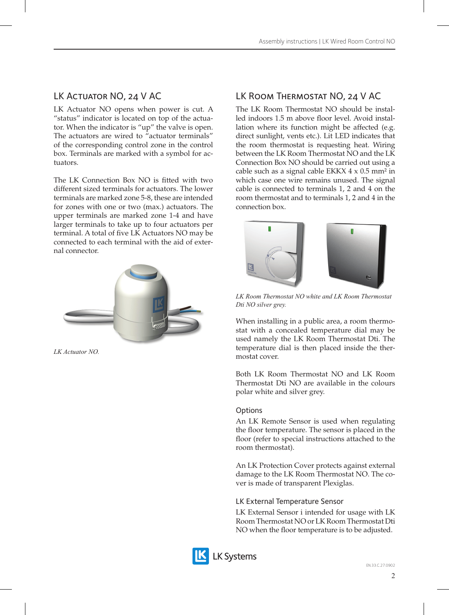# LK ACTUATOR NO, 24 V AC

LK Actuator NO opens when power is cut. A "status" indicator is located on top of the actuator. When the indicator is "up" the valve is open. The actuators are wired to  $\theta$  actuator terminals" of the corresponding control zone in the control box. Terminals are marked with a symbol for actuators.

The LK Connection Box NO is fitted with two different sized terminals for actuators. The lower terminals are marked zone 5-8, these are intended for zones with one or two (max.) actuators. The upper terminals are marked zone 1-4 and have larger terminals to take up to four actuators per terminal. A total of five LK Actuators NO may be connected to each terminal with the aid of external connector.



*LK Actuator NO.*

# LK Room Thermostat NO, 24 V AC

The LK Room Thermostat NO should be installed indoors 1.5 m above floor level. Avoid installation where its function might be affected (e.g. direct sunlight, vents etc.). Lit LED indicates that the room thermostat is requesting heat. Wiring between the LK Room Thermostat NO and the LK Connection Box NO should be carried out using a cable such as a signal cable EKKX  $4 \times 0.5$  mm<sup>2</sup> in which case one wire remains unused. The signal cable is connected to terminals 1, 2 and 4 on the room thermostat and to terminals 1, 2 and 4 in the connection box.



*LK Room Thermostat NO white and LK Room Thermostat Dti NO silver grey.*

When installing in a public area, a room thermostat with a concealed temperature dial may be used namely the LK Room Thermostat Dti. The temperature dial is then placed inside the thermostat cover.

Both LK Room Thermostat NO and LK Room Thermostat Dti NO are available in the colours polar white and silver grey.

### **Options**

An LK Remote Sensor is used when regulating the floor temperature. The sensor is placed in the floor (refer to special instructions attached to the room thermostat).

An LK Protection Cover protects against external damage to the LK Room Thermostat NO. The cover is made of transparent Plexiglas.

### LK External Temperature Sensor

LK External Sensor i intended for usage with LK Room Thermostat NO or LK Room Thermostat Dti NO when the floor temperature is to be adjusted.



**LK Systems**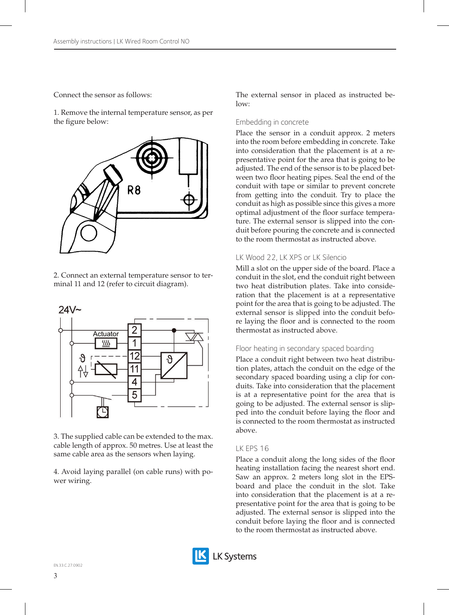Connect the sensor as follows:

1. Remove the internal temperature sensor, as per the figure below:



2. Connect an external temperature sensor to terminal 11 and 12 (refer to circuit diagram).



3. The supplied cable can be extended to the max. cable length of approx. 50 metres. Use at least the same cable area as the sensors when laying.

4. Avoid laying parallel (on cable runs) with power wiring.

The external sensor in placed as instructed be $l$ ow<sup>-</sup>

#### Embedding in concrete

Place the sensor in a conduit approx. 2 meters into the room before embedding in concrete. Take into consideration that the placement is at a representative point for the area that is going to be adjusted. The end of the sensor is to be placed between two floor heating pipes. Seal the end of the conduit with tape or similar to prevent concrete from getting into the conduit. Try to place the conduit as high as possible since this gives a more optimal adjustment of the floor surface temperature. The external sensor is slipped into the conduit before pouring the concrete and is connected to the room thermostat as instructed above.

#### LK Wood 22, LK XPS or LK Silencio

Mill a slot on the upper side of the board. Place a conduit in the slot, end the conduit right between two heat distribution plates. Take into consideration that the placement is at a representative point for the area that is going to be adjusted. The external sensor is slipped into the conduit before laying the floor and is connected to the room thermostat as instructed above.

#### Floor heating in secondary spaced boarding

Place a conduit right between two heat distribution plates, attach the conduit on the edge of the secondary spaced boarding using a clip for conduits. Take into consideration that the placement is at a representative point for the area that is going to be adjusted. The external sensor is slipped into the conduit before laying the floor and is connected to the room thermostat as instructed above.

#### LK EPS 16

Place a conduit along the long sides of the floor heating installation facing the nearest short end. Saw an approx. 2 meters long slot in the EPSboard and place the conduit in the slot. Take into consideration that the placement is at a representative point for the area that is going to be adjusted. The external sensor is slipped into the conduit before laying the floor and is connected to the room thermostat as instructed above.

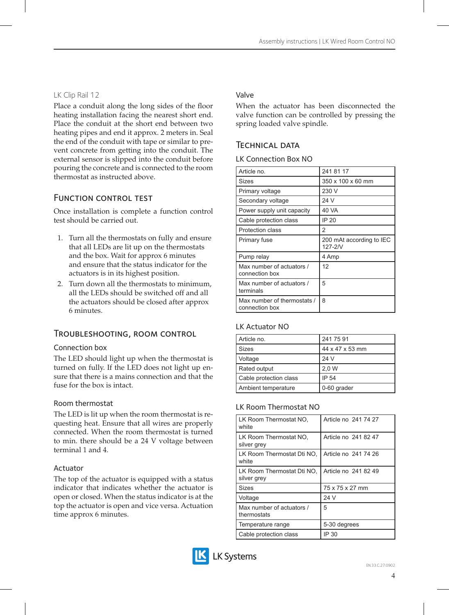# LK Clip Rail 12

Place a conduit along the long sides of the floor heating installation facing the nearest short end. Place the conduit at the short end between two heating pipes and end it approx. 2 meters in. Seal the end of the conduit with tape or similar to prevent concrete from getting into the conduit. The external sensor is slipped into the conduit before pouring the concrete and is connected to the room thermostat as instructed above.

# Function control test

Once installation is complete a function control test should be carried out.

- 1. Turn all the thermostats on fully and ensure that all LEDs are lit up on the thermostats and the box. Wait for approx 6 minutes and ensure that the status indicator for the actuators is in its highest position.
- 2. Turn down all the thermostats to minimum, all the LEDs should be switched off and all the actuators should be closed after approx 6 minutes.

# Troubleshooting, room control

#### Connection box

The LED should light up when the thermostat is turned on fully. If the LED does not light up ensure that there is a mains connection and that the fuse for the box is intact.

### Room thermostat

The LED is lit up when the room thermostat is requesting heat. Ensure that all wires are properly connected. When the room thermostat is turned to min. there should be a 24 V voltage between terminal 1 and 4.

### Actuator

The top of the actuator is equipped with a status indicator that indicates whether the actuator is open or closed. When the status indicator is at the top the actuator is open and vice versa. Actuation time approx 6 minutes.

# Valve

When the actuator has been disconnected the valve function can be controlled by pressing the spring loaded valve spindle.

# Technical data

|  | LK Connection Box NO |  |  |
|--|----------------------|--|--|
|--|----------------------|--|--|

| Article no.                                   | 241 81 17                              |
|-----------------------------------------------|----------------------------------------|
| Sizes                                         | 350 x 100 x 60 mm                      |
| Primary voltage                               | 230 V                                  |
| Secondary voltage                             | 24 V                                   |
| Power supply unit capacity                    | 40 VA                                  |
| Cable protection class                        | IP 20                                  |
| Protection class                              | 2                                      |
| Primary fuse                                  | 200 mAt according to IEC<br>$127 - 2N$ |
| Pump relay                                    | 4 Amp                                  |
| Max number of actuators /<br>connection box   | 12                                     |
| Max number of actuators /<br>terminals        | 5                                      |
| Max number of thermostats /<br>connection box | 8                                      |

### LK Actuator NO

| Article no.            | 241 75 91       |
|------------------------|-----------------|
| <b>Sizes</b>           | 44 x 47 x 53 mm |
| Voltage                | 24 V            |
| Rated output           | 2,0 W           |
| Cable protection class | IP 54           |
| Ambient temperature    | 0-60 grader     |

### LK Room Thermostat NO

| LK Room Thermostat NO.<br>white           | Article no 241 74 27 |
|-------------------------------------------|----------------------|
| LK Room Thermostat NO.<br>silver grey     | Article no 241 82 47 |
| LK Room Thermostat Dti NO.<br>white       | Article no 241 74 26 |
| LK Room Thermostat Dti NO,<br>silver grey | Article no 241 82 49 |
| Sizes                                     | 75 x 75 x 27 mm      |
| Voltage                                   | 24 V                 |
| Max number of actuators /<br>thermostats  | 5                    |
| Temperature range                         | 5-30 degrees         |
| Cable protection class                    | IP 30                |